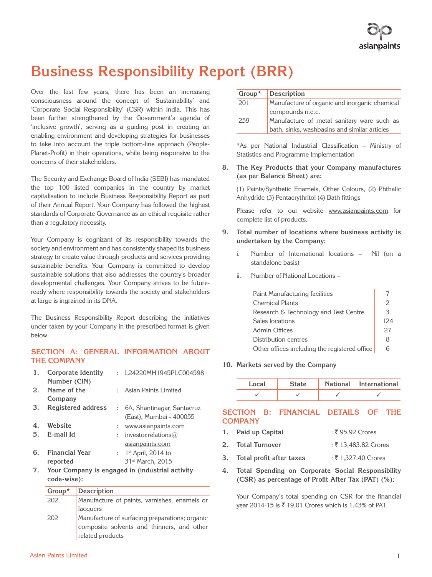# **Business Responsibility Report (BRR)**

Over the last few years, there has been an increasing consciousness around the concept of 'Sustainability' and 'Corporate Social Responsibility' (CSR) within India. This has been further strengthened by the Government's agenda of 'inclusive growth', serving as a guiding post in creating an enabling environment and developing strategies for businesses to take into account the triple bottom-line approach (People-Planet-Profit) in their operations, while being responsive to the concerns of their stakeholders.

The Security and Exchange Board of India (SEBI) has mandated the top 100 listed companies in the country by market capitalisation to include Business Responsibility Report as part of their Annual Report. Your Company has followed the highest standards of Corporate Governance as an ethical requisite rather than a regulatory necessity.

Your Company is cognizant of its responsibility towards the society and environment and has consistently shaped its business strategy to create value through products and services providing sustainable benefits. Your Company is committed to develop sustainable solutions that also addresses the country's broader developmental challenges. Your Company strives to be futureready where responsibility towards the society and stakeholders at large is ingrained in its DNA.

The Business Responsibility Report describing the initiatives under taken by your Company in the prescribed format is given below:

# **SECTION A: GENERAL INFORMATION ABOUT THE COMPANY**

| 1. | <b>Corporate Identity</b> | $\sim$               | L24220MH1945PLC004598                           |
|----|---------------------------|----------------------|-------------------------------------------------|
|    | Number (CIN)              |                      |                                                 |
| 2. | Name of the               |                      | : Asian Paints Limited                          |
|    | Company                   |                      |                                                 |
| 3. | Registered address        |                      | : 6A, Shantinagar, Santacruz                    |
|    |                           |                      | (East), Mumbai - 400055                         |
| 4. | Website                   | t.                   | www.asianpaints.com                             |
| 5. | E-mail Id                 | $\ddot{\phantom{a}}$ | investor.relations $@$                          |
|    |                           |                      | asianpaints.com                                 |
| 6. | <b>Financial Year</b>     | $\mathcal{L}$        | $1st$ April, 2014 to                            |
|    | reported                  |                      | 31 <sup>st</sup> March, 2015                    |
| 7. |                           |                      | Your Company is engaged in (industrial activity |

**7. Your Company is engaged in (industrial activity code-wise):**

| $Group^*$ | Description                                    |
|-----------|------------------------------------------------|
| 202       | Manufacture of paints, varnishes, enamels or   |
|           | lacquers                                       |
| 202       | Manufacture of surfacing preparations; organic |
|           | composite solvents and thinners, and other     |
|           | related products                               |

| Group* | Description                                   |
|--------|-----------------------------------------------|
| 201    | Manufacture of organic and inorganic chemical |
|        | compounds n.e.c.                              |
| 259    | Manufacture of metal sanitary ware such as    |
|        | bath, sinks, washbasins and similar articles  |

\*As per National Industrial Classification – Ministry of Statistics and Programme Implementation

**8. The Key Products that your Company manufactures (as per Balance Sheet) are:** 

(1) Paints/Synthetic Enamels, Other Colours, (2) Phthalic Anhydride (3) Pentaerythritol (4) Bath fittings

Please refer to our website www.asianpaints.com for complete list of products.

- **9. Total number of locations where business activity is undertaken by the Company:**
	- i. Number of International locations Nil (on a standalone basis)
	- ii. Number of National Locations –

| Paint Manufacturing facilities                |     |
|-----------------------------------------------|-----|
| <b>Chemical Plants</b>                        | 2   |
| Research & Technology and Test Centre         | 3   |
| Sales locations                               | 124 |
| Admin Offices                                 | 27  |
| Distribution centres                          | 8   |
| Other offices including the registered office |     |

**10. Markets served by the Company**

| Local | <b>State</b> | National International |
|-------|--------------|------------------------|
|       |              |                        |

# **SECTION B: FINANCIAL DETAILS OF THE COMPANY**

- 1. **Paid up Capital** : ₹ 95.92 Crores
- **2. Total Turnover** : ₹ 13,483.82 Crores
- **3.** Total profit after taxes : ₹ 1,327.40 Crores
- **4. Total Spending on Corporate Social Responsibility (CSR) as percentage of Profit After Tax (PAT) (%):**

Your Company's total spending on CSR for the financial year 2014-15 is ₹ 19.01 Crores which is 1.43% of PAT.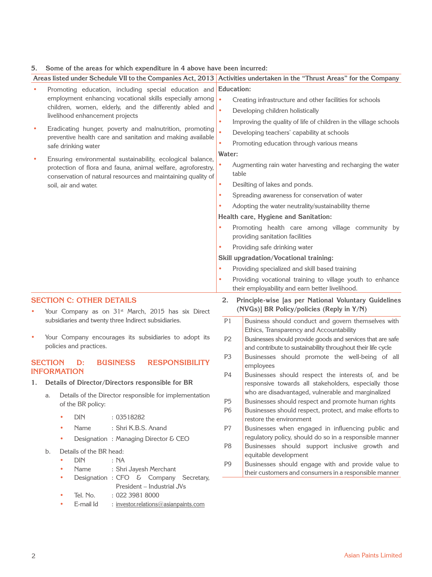# **5. Some of the areas for which expenditure in 4 above have been incurred:**

|    | Areas listed under Schedule VII to the Companies Act, 2013 Activities undertaken in the "Thrust Areas" for the Company                                                                     |                   |                                                                                                                            |
|----|--------------------------------------------------------------------------------------------------------------------------------------------------------------------------------------------|-------------------|----------------------------------------------------------------------------------------------------------------------------|
|    | Promoting education, including special education and                                                                                                                                       | <b>Education:</b> |                                                                                                                            |
|    | employment enhancing vocational skills especially among                                                                                                                                    | $\bullet$         | Creating infrastructure and other facilities for schools                                                                   |
|    | children, women, elderly, and the differently abled and                                                                                                                                    | $\bullet$         | Developing children holistically                                                                                           |
|    | livelihood enhancement projects                                                                                                                                                            | $\bullet$         | Improving the quality of life of children in the village schools                                                           |
|    | Eradicating hunger, poverty and malnutrition, promoting                                                                                                                                    | $\bullet$         | Developing teachers' capability at schools                                                                                 |
|    | preventive health care and sanitation and making available<br>safe drinking water                                                                                                          | $\bullet$         | Promoting education through various means                                                                                  |
|    |                                                                                                                                                                                            | Water:            |                                                                                                                            |
|    | Ensuring environmental sustainability, ecological balance,<br>protection of flora and fauna, animal welfare, agroforestry,<br>conservation of natural resources and maintaining quality of | ٠                 | Augmenting rain water harvesting and recharging the water<br>table                                                         |
|    | soil, air and water.                                                                                                                                                                       | ٠                 | Desilting of lakes and ponds.                                                                                              |
|    |                                                                                                                                                                                            | $\bullet$         | Spreading awareness for conservation of water                                                                              |
|    |                                                                                                                                                                                            | ٠                 | Adopting the water neutrality/sustainability theme                                                                         |
|    |                                                                                                                                                                                            |                   | Health care, Hygiene and Sanitation:                                                                                       |
|    |                                                                                                                                                                                            | ٠                 | Promoting health care among village community by<br>providing sanitation facilities                                        |
|    |                                                                                                                                                                                            | ٠                 | Providing safe drinking water                                                                                              |
|    |                                                                                                                                                                                            |                   | Skill upgradation/Vocational training:                                                                                     |
|    |                                                                                                                                                                                            | ٠                 | Providing specialized and skill based training                                                                             |
|    |                                                                                                                                                                                            | ۰                 | Providing vocational training to village youth to enhance<br>their employability and earn better livelihood.               |
|    | <b>SECTION C: OTHER DETAILS</b><br>Your Company as on 31 <sup>st</sup> March, 2015 has six Direct                                                                                          | 2.                | Principle-wise [as per National Voluntary Guidelines<br>(NVGs)] BR Policy/policies (Reply in Y/N)                          |
|    | subsidiaries and twenty three Indirect subsidiaries.                                                                                                                                       | P1                | Business should conduct and govern themselves with<br>Ethics, Transparency and Accountability                              |
| ٠  | Your Company encourages its subsidiaries to adopt its<br>policies and practices.                                                                                                           | P <sub>2</sub>    | Businesses should provide goods and services that are safe<br>and contribute to sustainability throughout their life cycle |
|    | <b>RESPONSIBILITY</b><br><b>SECTION</b><br><b>BUSINESS</b><br>D:                                                                                                                           | P <sub>3</sub>    | Businesses should promote the well-being of all<br>employees                                                               |
|    | <b>INFORMATION</b>                                                                                                                                                                         | P4                | Businesses should respect the interests of, and be                                                                         |
| 1. | Details of Director/Directors responsible for BR                                                                                                                                           |                   | responsive towards all stakeholders, especially those                                                                      |
|    | Details of the Director responsible for implementation<br>a.                                                                                                                               | P <sub>5</sub>    | who are disadvantaged, vulnerable and marginalized<br>Businesses should respect and promote human rights                   |
|    | of the BR policy:                                                                                                                                                                          | P6                | Businesses should respect, protect, and make efforts to                                                                    |
|    | <b>DIN</b><br>: 03518282<br>۰                                                                                                                                                              |                   | restore the environment                                                                                                    |
|    | : Shri K.B.S. Anand<br>Name<br>۰                                                                                                                                                           | P7                | Businesses when engaged in influencing public and                                                                          |
|    | Designation: Managing Director & CEO<br>٠                                                                                                                                                  |                   | regulatory policy, should do so in a responsible manner                                                                    |
|    | Details of the BR head:<br>b.                                                                                                                                                              | P <sub>8</sub>    | Businesses should support inclusive growth and<br>equitable development                                                    |
|    | <b>DIN</b><br>: NA<br>۰<br>Name<br>: Shri Jayesh Merchant<br>۰<br>Designation : CFO & Company Secretary,<br>۰                                                                              | P <sub>9</sub>    | Businesses should engage with and provide value to<br>their customers and consumers in a responsible manner                |
|    | President - Industrial JVs                                                                                                                                                                 |                   |                                                                                                                            |

- Tel. No. : 022 3981 8000
- E-mail Id  $\qquad$  : investor.relations@asianpaints.com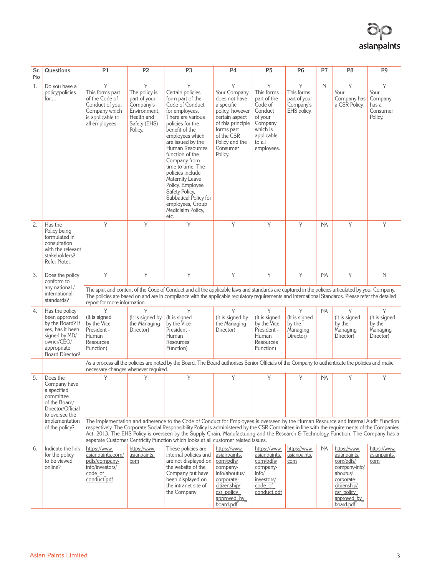

| Sr.<br><b>No</b>                                                                                                                                                                                                                                                                                                                                                                                                                                                                                                                                   | Questions                                                                                                                                       | P1                                                                                                               | P <sub>2</sub>                                                                                           | P <sub>3</sub>                                                                                                                                                                                                                                                                                                                                                                                                      | P <sub>4</sub>                                                                                                                                                                  | P <sub>5</sub>                                                                                                               | P <sub>6</sub>                                              | P7          | P <sub>8</sub>                                                                                                                                 | P <sub>9</sub>                                        |
|----------------------------------------------------------------------------------------------------------------------------------------------------------------------------------------------------------------------------------------------------------------------------------------------------------------------------------------------------------------------------------------------------------------------------------------------------------------------------------------------------------------------------------------------------|-------------------------------------------------------------------------------------------------------------------------------------------------|------------------------------------------------------------------------------------------------------------------|----------------------------------------------------------------------------------------------------------|---------------------------------------------------------------------------------------------------------------------------------------------------------------------------------------------------------------------------------------------------------------------------------------------------------------------------------------------------------------------------------------------------------------------|---------------------------------------------------------------------------------------------------------------------------------------------------------------------------------|------------------------------------------------------------------------------------------------------------------------------|-------------------------------------------------------------|-------------|------------------------------------------------------------------------------------------------------------------------------------------------|-------------------------------------------------------|
| 1.                                                                                                                                                                                                                                                                                                                                                                                                                                                                                                                                                 | Do you have a<br>policy/policies<br>for                                                                                                         | Y<br>This forms part<br>of the Code of<br>Conduct of your<br>Company which<br>is applicable to<br>all employees. | Y<br>The policy is<br>part of your<br>Company's<br>Environment.<br>Health and<br>Safety (EHS)<br>Policy. | Y<br>Certain policies<br>form part of the<br>Code of Conduct<br>for employees.<br>There are various<br>policies for the<br>benefit of the<br>employees which<br>are issued by the<br>Human Resources<br>function of the<br>Company from<br>time to time. The<br>policies include<br>Maternity Leave<br>Policy, Employee<br>Safety Policy,<br>Sabbatical Policy for<br>employees, Group<br>Mediclaim Policy,<br>etc. | Y<br>Your Company<br>does not have<br>a specific<br>policy, however<br>certain aspect<br>of this principle<br>forms part<br>of the CSR<br>Policy and the<br>Consumer<br>Policy. | Y<br>This forms<br>part of the<br>Code of<br>Conduct<br>of your<br>Company<br>which is<br>applicable<br>to all<br>employees. | Y<br>This forms<br>part of your<br>Company's<br>EHS policy. | $\mathbb N$ | Y<br>Your<br>Company has<br>a CSR Policy.                                                                                                      | Y<br>Your<br>Company<br>has a<br>Consumer<br>Policy.  |
| 2.                                                                                                                                                                                                                                                                                                                                                                                                                                                                                                                                                 | Has the<br>Policy being<br>formulated in<br>consultation<br>with the relevant<br>stakeholders?<br>Refer Note1                                   | Y                                                                                                                | Y                                                                                                        | Y                                                                                                                                                                                                                                                                                                                                                                                                                   | Y                                                                                                                                                                               | Y                                                                                                                            | Y                                                           | NA          | Y                                                                                                                                              | Y                                                     |
| 3.                                                                                                                                                                                                                                                                                                                                                                                                                                                                                                                                                 | Does the policy<br>conform to<br>any national /<br>international<br>standards?                                                                  | Y<br>report for more information.                                                                                | Y                                                                                                        | Y<br>The spirit and content of the Code of Conduct and all the applicable laws and standards are captured in the policies articulated by your Company.<br>The policies are based on and are in compliance with the applicable regulatory requirements and International Standards. Please refer the detailed                                                                                                        | Y                                                                                                                                                                               | Y                                                                                                                            | Y                                                           | <b>NA</b>   | Y                                                                                                                                              | N                                                     |
| 4.                                                                                                                                                                                                                                                                                                                                                                                                                                                                                                                                                 | Has the policy<br>been approved<br>by the Board? If<br>yes, has it been<br>signed by MD/<br>owner/CEO/<br>appropriate<br><b>Board Director?</b> | Y<br>(It is signed<br>by the Vice<br>President -<br>Human<br>Resources<br>Function)                              | Y<br>(It is signed by<br>the Managing<br>Director)                                                       | Y<br>(It is signed<br>by the Vice<br>President -<br>Human<br>Resources<br>Function)                                                                                                                                                                                                                                                                                                                                 | Y<br>(It is signed by<br>the Managing<br>Director)                                                                                                                              | Y<br>(It is signed<br>by the Vice<br>President -<br>Human<br>Resources<br>Function)                                          | Y<br>(It is signed<br>by the<br>Managing<br>Director)       | NA          | Y<br>(It is signed<br>by the<br>Managing<br>Director)                                                                                          | Y<br>(It is signed<br>by the<br>Managing<br>Director) |
|                                                                                                                                                                                                                                                                                                                                                                                                                                                                                                                                                    |                                                                                                                                                 | necessary changes whenever required.                                                                             |                                                                                                          | As a process all the policies are noted by the Board. The Board authorises Senior Officials of the Company to authenticate the policies and make                                                                                                                                                                                                                                                                    |                                                                                                                                                                                 |                                                                                                                              |                                                             |             |                                                                                                                                                |                                                       |
| 5.                                                                                                                                                                                                                                                                                                                                                                                                                                                                                                                                                 | Does the<br>Company have<br>a specified<br>committee<br>of the Board/<br>Director/Official<br>to oversee the                                    | Y                                                                                                                | Y                                                                                                        | Y                                                                                                                                                                                                                                                                                                                                                                                                                   | Y                                                                                                                                                                               | Y                                                                                                                            | Y                                                           | NA.         | Y                                                                                                                                              | Y                                                     |
| implementation<br>The implementation and adherence to the Code of Conduct for Employees is overseen by the Human Resource and Internal Audit Function<br>of the policy?<br>respectively. The Corporate Social Responsibility Policy is administered by the CSR Committee in line with the requirements of the Companies<br>Act, 2013. The EHS Policy is overseen by the Supply Chain, Manufacturing and the Research & Technology Function. The Company has a<br>separate Customer Centricity Function which looks at all customer related issues. |                                                                                                                                                 |                                                                                                                  |                                                                                                          |                                                                                                                                                                                                                                                                                                                                                                                                                     |                                                                                                                                                                                 |                                                                                                                              |                                                             |             |                                                                                                                                                |                                                       |
| 6.                                                                                                                                                                                                                                                                                                                                                                                                                                                                                                                                                 | Indicate the link<br>for the policy<br>to be viewed<br>online?                                                                                  | https://www.<br>asianpaints.com/<br>pdfs/company-<br>info/investors/<br>code of<br>conduct.pdf                   | https://www.<br>asianpaints.<br>com                                                                      | These policies are<br>internal policies and<br>are not displayed on<br>the website of the<br>Company but have<br>been displayed on<br>the intranet site of<br>the Company                                                                                                                                                                                                                                           | https://www.<br>asianpaints.<br>com/pdfs/<br>company-<br>info/aboutus/<br>corporate-<br>citizenship/<br>csr policy<br>approved by<br>board.pdf                                  | https://www.<br>asianpaints.<br>com/pdfs/<br>company-<br>info/<br>investors/<br>code of<br>conduct.pdf                       | https://www.<br>asianpaints.<br>com                         | NA.         | https://www.<br>asianpaints.<br>com/pdfs/<br>company-info/<br>aboutus/<br>corporate-<br>citizenship/<br>csr policy<br>approved by<br>board.pdf | https://www.<br>asianpaints.<br>com                   |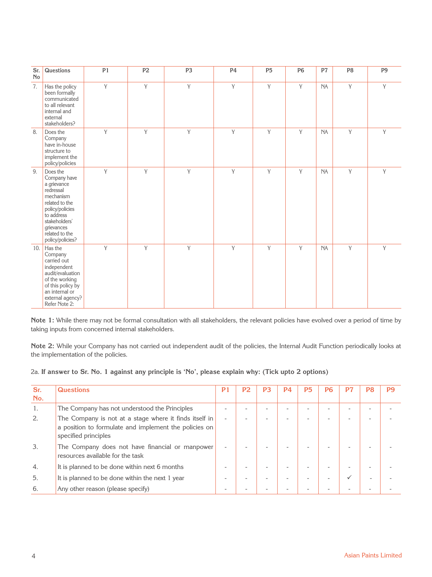| Sr.<br>No | Questions                                                                                                                                                                                 | P1 | P <sub>2</sub> | P <sub>3</sub> | P <sub>4</sub> | P <sub>5</sub> | <b>P6</b> | P <sub>7</sub> | P <sub>8</sub> | P <sub>9</sub> |
|-----------|-------------------------------------------------------------------------------------------------------------------------------------------------------------------------------------------|----|----------------|----------------|----------------|----------------|-----------|----------------|----------------|----------------|
| 7.        | Has the policy<br>been formally<br>communicated<br>to all relevant<br>internal and<br>external<br>stakeholders?                                                                           | Y  | Y              | Y              | Y              | Y              | Y         | <b>NA</b>      | Y              | Y              |
| 8.        | Does the<br>Company<br>have in-house<br>structure to<br>implement the<br>policy/policies                                                                                                  | Y  | Y              | Y              | Y              | Y              | Y         | <b>NA</b>      | Y              | Y              |
| 9.        | Does the<br>Company have<br>a grievance<br>redressal<br>mechanism<br>related to the<br>policy/policies<br>to address<br>stakeholders'<br>grievances<br>related to the<br>policy/policies? | Y  | Y              | Y              | Y              | Y              | Y         | NA             | Y              | Y              |
| 10.       | Has the<br>Company<br>carried out<br>independent<br>audit/evaluation<br>of the working<br>of this policy by<br>an internal or<br>external agency?<br>Refer Note 2:                        | Y  | Y              | Y              | Y              | Y              | Y         | NA             | Y              | Y              |

**Note 1:** While there may not be formal consultation with all stakeholders, the relevant policies have evolved over a period of time by taking inputs from concerned internal stakeholders.

**Note 2:** While your Company has not carried out independent audit of the policies, the Internal Audit Function periodically looks at the implementation of the policies.

# 2a. If answer to Sr. No. 1 against any principle is 'No', please explain why: (Tick upto 2 options)

| Sr. | <b>Questions</b>                                                                                                                        | P1                       | P2 | P3 | P4 | <b>P5</b> | P6 | P7           | P8 | P9 |
|-----|-----------------------------------------------------------------------------------------------------------------------------------------|--------------------------|----|----|----|-----------|----|--------------|----|----|
| No. |                                                                                                                                         |                          |    |    |    |           |    |              |    |    |
| 1.  | The Company has not understood the Principles                                                                                           |                          | ۰  |    |    |           |    |              | ۰  |    |
| 2.  | The Company is not at a stage where it finds itself in<br>a position to formulate and implement the policies on<br>specified principles | $\overline{\phantom{a}}$ |    |    |    |           |    |              |    |    |
| 3.  | The Company does not have financial or manpower<br>resources available for the task                                                     |                          |    |    |    |           |    |              |    |    |
| 4.  | It is planned to be done within next 6 months                                                                                           |                          | ۰  |    |    |           | -  | ۰            |    |    |
| 5.  | It is planned to be done within the next 1 year                                                                                         |                          |    |    |    |           | -  | $\checkmark$ |    |    |
| 6.  | Any other reason (please specify)                                                                                                       |                          |    |    |    |           |    |              |    |    |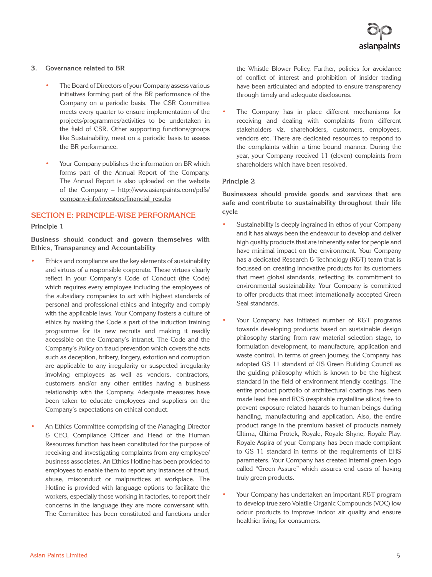#### **3. Governance related to BR**

- The Board of Directors of your Company assess various initiatives forming part of the BR performance of the Company on a periodic basis. The CSR Committee meets every quarter to ensure implementation of the projects/programmes/activities to be undertaken in the field of CSR. Other supporting functions/groups like Sustainability, meet on a periodic basis to assess the BR performance.
- Your Company publishes the information on BR which forms part of the Annual Report of the Company. The Annual Report is also uploaded on the website of the Company – http://www.asianpaints.com/pdfs/ company-info/investors/financial\_results

# **SECTION E: PRINCIPLE-WISE PERFORMANCE**

#### **Principle 1**

**Business should conduct and govern themselves with Ethics, Transparency and Accountability**

- Ethics and compliance are the key elements of sustainability and virtues of a responsible corporate. These virtues clearly reflect in your Company's Code of Conduct (the Code) which requires every employee including the employees of the subsidiary companies to act with highest standards of personal and professional ethics and integrity and comply with the applicable laws. Your Company fosters a culture of ethics by making the Code a part of the induction training programme for its new recruits and making it readily accessible on the Company's intranet. The Code and the Company's Policy on fraud prevention which covers the acts such as deception, bribery, forgery, extortion and corruption are applicable to any irregularity or suspected irregularity involving employees as well as vendors, contractors, customers and/or any other entities having a business relationship with the Company. Adequate measures have been taken to educate employees and suppliers on the Company's expectations on ethical conduct.
- An Ethics Committee comprising of the Managing Director & CEO, Compliance Officer and Head of the Human Resources function has been constituted for the purpose of receiving and investigating complaints from any employee/ business associates. An Ethics Hotline has been provided to employees to enable them to report any instances of fraud, abuse, misconduct or malpractices at workplace. The Hotline is provided with language options to facilitate the workers, especially those working in factories, to report their concerns in the language they are more conversant with. The Committee has been constituted and functions under

the Whistle Blower Policy. Further, policies for avoidance of conflict of interest and prohibition of insider trading have been articulated and adopted to ensure transparency through timely and adequate disclosures.

The Company has in place different mechanisms for receiving and dealing with complaints from different stakeholders viz. shareholders, customers, employees, vendors etc. There are dedicated resources to respond to the complaints within a time bound manner. During the year, your Company received 11 (eleven) complaints from shareholders which have been resolved.

#### **Principle 2**

**Businesses should provide goods and services that are safe and contribute to sustainability throughout their life cycle**

- Sustainability is deeply ingrained in ethos of your Company and it has always been the endeavour to develop and deliver high quality products that are inherently safer for people and have minimal impact on the environment. Your Company has a dedicated Research & Technology (R&T) team that is focussed on creating innovative products for its customers that meet global standards, reflecting its commitment to environmental sustainability. Your Company is committed to offer products that meet internationally accepted Green Seal standards.
- Your Company has initiated number of R&T programs towards developing products based on sustainable design philosophy starting from raw material selection stage, to formulation development, to manufacture, application and waste control. In terms of green journey, the Company has adopted GS 11 standard of US Green Building Council as the guiding philosophy which is known to be the highest standard in the field of environment friendly coatings. The entire product portfolio of architectural coatings has been made lead free and RCS (respirable crystalline silica) free to prevent exposure related hazards to human beings during handling, manufacturing and application. Also, the entire product range in the premium basket of products namely Ultima, Ultima Protek, Royale, Royale Shyne, Royale Play, Royale Aspira of your Company has been made compliant to GS 11 standard in terms of the requirements of EHS parameters. Your Company has created internal green logo called "Green Assure" which assures end users of having truly green products.
- Your Company has undertaken an important R&T program to develop true zero Volatile Organic Compounds (VOC) low odour products to improve indoor air quality and ensure healthier living for consumers.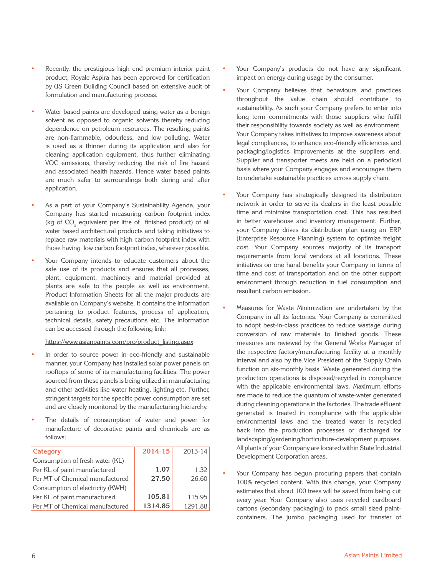- Recently, the prestigious high end premium interior paint product, Royale Aspira has been approved for certification by US Green Building Council based on extensive audit of formulation and manufacturing process.
- Water based paints are developed using water as a benign solvent as opposed to organic solvents thereby reducing dependence on petroleum resources. The resulting paints are non-flammable, odourless, and low polluting. Water is used as a thinner during its application and also for cleaning application equipment, thus further eliminating VOC emissions, thereby reducing the risk of fire hazard and associated health hazards. Hence water based paints are much safer to surroundings both during and after application.
- As a part of your Company's Sustainability Agenda, your Company has started measuring carbon footprint index (kg of  $\mathsf{CO}_2$  equivalent per litre of finished product) of all water based architectural products and taking initiatives to replace raw materials with high carbon footprint index with those having low carbon footprint index, wherever possible.
- Your Company intends to educate customers about the safe use of its products and ensures that all processes, plant, equipment, machinery and material provided at plants are safe to the people as well as environment. Product Information Sheets for all the major products are available on Company's website. It contains the information pertaining to product features, process of application, technical details, safety precautions etc. The information can be accessed through the following link:

#### https://www.asianpaints.com/pro/product\_listing.aspx

- In order to source power in eco-friendly and sustainable manner, your Company has installed solar power panels on rooftops of some of its manufacturing facilities. The power sourced from these panels is being utilized in manufacturing and other activities like water heating, lighting etc. Further, stringent targets for the specific power consumption are set and are closely monitored by the manufacturing hierarchy.
- The details of consumption of water and power for manufacture of decorative paints and chemicals are as follows:

| Category                         | 2014-15 | 2013-14 |
|----------------------------------|---------|---------|
| Consumption of fresh water (KL)  |         |         |
| Per KL of paint manufactured     | 1.07    | 1.32    |
| Per MT of Chemical manufactured  | 27.50   | 26.60   |
| Consumption of electricity (KWH) |         |         |
| Per KL of paint manufactured     | 105.81  | 115.95  |
| Per MT of Chemical manufactured  | 1314.85 | 1291.88 |

- Your Company's products do not have any significant impact on energy during usage by the consumer.
- Your Company believes that behaviours and practices throughout the value chain should contribute to sustainability. As such your Company prefers to enter into long term commitments with those suppliers who fulfill their responsibility towards society as well as environment. Your Company takes initiatives to improve awareness about legal compliances, to enhance eco-friendly efficiencies and packaging/logistics improvements at the suppliers end. Supplier and transporter meets are held on a periodical basis where your Company engages and encourages them to undertake sustainable practices across supply chain.
- Your Company has strategically designed its distribution network in order to serve its dealers in the least possible time and minimize transportation cost. This has resulted in better warehouse and inventory management. Further, your Company drives its distribution plan using an ERP (Enterprise Resource Planning) system to optimize freight cost. Your Company sources majority of its transport requirements from local vendors at all locations. These initiatives on one hand benefits your Company in terms of time and cost of transportation and on the other support environment through reduction in fuel consumption and resultant carbon emission.
- Measures for Waste Minimization are undertaken by the Company in all its factories. Your Company is committed to adopt best-in-class practices to reduce wastage during conversion of raw materials to finished goods. These measures are reviewed by the General Works Manager of the respective factory/manufacturing facility at a monthly interval and also by the Vice President of the Supply Chain function on six-monthly basis. Waste generated during the production operations is disposed/recycled in compliance with the applicable environmental laws. Maximum efforts are made to reduce the quantum of waste-water generated during cleaning operations in the factories. The trade effluent generated is treated in compliance with the applicable environmental laws and the treated water is recycled back into the production processes or discharged for landscaping/gardening/horticulture-development purposes. All plants of your Company are located within State Industrial Development Corporation areas.
- Your Company has begun procuring papers that contain 100% recycled content. With this change, your Company estimates that about 100 trees will be saved from being cut every year. Your Company also uses recycled cardboard cartons (secondary packaging) to pack small sized paintcontainers. The jumbo packaging used for transfer of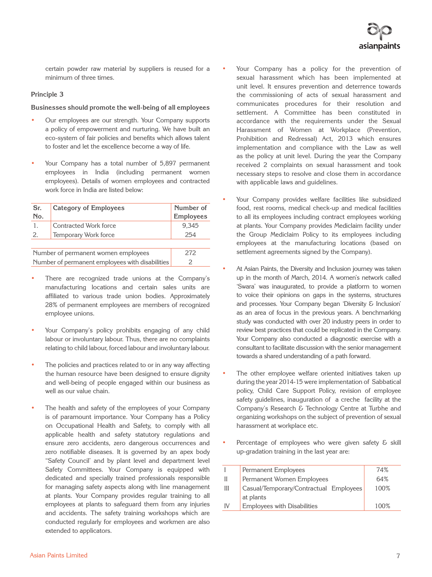certain powder raw material by suppliers is reused for a minimum of three times.

# **Principle 3**

#### **Businesses should promote the well-being of all employees**

- Our employees are our strength. Your Company supports a policy of empowerment and nurturing. We have built an eco-system of fair policies and benefits which allows talent to foster and let the excellence become a way of life.
- Your Company has a total number of 5,897 permanent employees in India (including permanent women employees). Details of women employees and contracted work force in India are listed below:

| Sr.                                                              | <b>Category of Employees</b> | Number of        |  |  |  |
|------------------------------------------------------------------|------------------------------|------------------|--|--|--|
| No.                                                              |                              | <b>Employees</b> |  |  |  |
| 1.                                                               | Contracted Work force        | 9,345            |  |  |  |
| 2.                                                               | Temporary Work force         | 254              |  |  |  |
|                                                                  |                              |                  |  |  |  |
| 272<br>Number of permanent women employees                       |                              |                  |  |  |  |
| Number of permanent employees with disabilities<br>$\mathcal{P}$ |                              |                  |  |  |  |

- There are recognized trade unions at the Company's manufacturing locations and certain sales units are affiliated to various trade union bodies. Approximately 28% of permanent employees are members of recognized employee unions.
- Your Company's policy prohibits engaging of any child labour or involuntary labour. Thus, there are no complaints relating to child labour, forced labour and involuntary labour.
- The policies and practices related to or in any way affecting the human resource have been designed to ensure dignity and well-being of people engaged within our business as well as our value chain.
- The health and safety of the employees of your Company is of paramount importance. Your Company has a Policy on Occupational Health and Safety, to comply with all applicable health and safety statutory regulations and ensure zero accidents, zero dangerous occurrences and zero notifiable diseases. It is governed by an apex body "Safety Council' and by plant level and department level Safety Committees. Your Company is equipped with dedicated and specially trained professionals responsible for managing safety aspects along with line management at plants. Your Company provides regular training to all employees at plants to safeguard them from any injuries and accidents. The safety training workshops which are conducted regularly for employees and workmen are also extended to applicators.
- Your Company has a policy for the prevention of sexual harassment which has been implemented at unit level. It ensures prevention and deterrence towards the commissioning of acts of sexual harassment and communicates procedures for their resolution and settlement. A Committee has been constituted in accordance with the requirements under the Sexual Harassment of Women at Workplace (Prevention, Prohibition and Redressal) Act, 2013 which ensures implementation and compliance with the Law as well as the policy at unit level. During the year the Company received 2 complaints on sexual harassment and took necessary steps to resolve and close them in accordance with applicable laws and guidelines.
- Your Company provides welfare facilities like subsidized food, rest rooms, medical check-up and medical facilities to all its employees including contract employees working at plants. Your Company provides Mediclaim facility under the Group Mediclaim Policy to its employees including employees at the manufacturing locations (based on settlement agreements signed by the Company).
- At Asian Paints, the Diversity and Inclusion journey was taken up in the month of March, 2014. A women's network called 'Swara' was inaugurated, to provide a platform to women to voice their opinions on gaps in the systems, structures and processes. Your Company began 'Diversity & Inclusion' as an area of focus in the previous years. A benchmarking study was conducted with over 20 industry peers in order to review best practices that could be replicated in the Company. Your Company also conducted a diagnostic exercise with a consultant to facilitate discussion with the senior management towards a shared understanding of a path forward.
- The other employee welfare oriented initiatives taken up during the year 2014-15 were implementation of Sabbatical policy, Child Care Support Policy, revision of employee safety guidelines, inauguration of a creche facility at the Company's Research & Technology Centre at Turbhe and organizing workshops on the subject of prevention of sexual harassment at workplace etc.
- Percentage of employees who were given safety & skill up-gradation training in the last year are:

|    | Permanent Employees                    | 74%  |
|----|----------------------------------------|------|
| Ш  | Permanent Women Employees              | 64%  |
| Ш  | Casual/Temporary/Contractual Employees | 100% |
|    | at plants                              |      |
| IV | Employees with Disabilities            | 100% |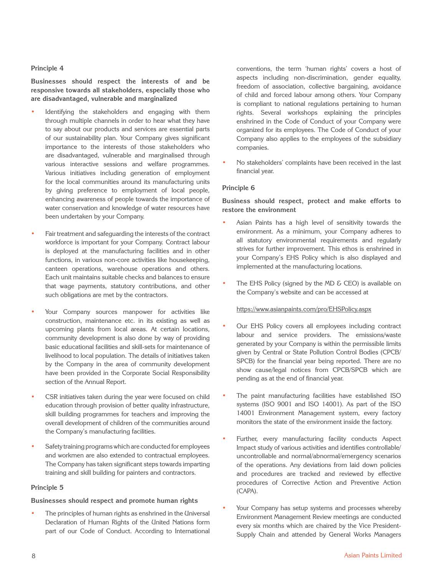#### **Principle 4**

**Businesses should respect the interests of and be responsive towards all stakeholders, especially those who are disadvantaged, vulnerable and marginalized**

- Identifying the stakeholders and engaging with them through multiple channels in order to hear what they have to say about our products and services are essential parts of our sustainability plan. Your Company gives significant importance to the interests of those stakeholders who are disadvantaged, vulnerable and marginalised through various interactive sessions and welfare programmes. Various initiatives including generation of employment for the local communities around its manufacturing units by giving preference to employment of local people, enhancing awareness of people towards the importance of water conservation and knowledge of water resources have been undertaken by your Company.
- Fair treatment and safeguarding the interests of the contract workforce is important for your Company. Contract labour is deployed at the manufacturing facilities and in other functions, in various non-core activities like housekeeping, canteen operations, warehouse operations and others. Each unit maintains suitable checks and balances to ensure that wage payments, statutory contributions, and other such obligations are met by the contractors.
- Your Company sources manpower for activities like construction, maintenance etc. in its existing as well as upcoming plants from local areas. At certain locations, community development is also done by way of providing basic educational facilities and skill-sets for maintenance of livelihood to local population. The details of initiatives taken by the Company in the area of community development have been provided in the Corporate Social Responsibility section of the Annual Report.
- CSR initiatives taken during the year were focused on child education through provision of better quality infrastructure, skill building programmes for teachers and improving the overall development of children of the communities around the Company's manufacturing facilities.
- Safety training programs which are conducted for employees and workmen are also extended to contractual employees. The Company has taken significant steps towards imparting training and skill building for painters and contractors.

#### **Principle 5**

# **Businesses should respect and promote human rights**

The principles of human rights as enshrined in the Universal Declaration of Human Rights of the United Nations form part of our Code of Conduct. According to International

conventions, the term 'human rights' covers a host of aspects including non-discrimination, gender equality, freedom of association, collective bargaining, avoidance of child and forced labour among others. Your Company is compliant to national regulations pertaining to human rights. Several workshops explaining the principles enshrined in the Code of Conduct of your Company were organized for its employees. The Code of Conduct of your Company also applies to the employees of the subsidiary companies.

• No stakeholders' complaints have been received in the last financial year.

#### **Principle 6**

**Business should respect, protect and make efforts to restore the environment**

- Asian Paints has a high level of sensitivity towards the environment. As a minimum, your Company adheres to all statutory environmental requirements and regularly strives for further improvement. This ethos is enshrined in your Company's EHS Policy which is also displayed and implemented at the manufacturing locations.
- The EHS Policy (signed by the MD & CEO) is available on the Company's website and can be accessed at

#### https://www.asianpaints.com/pro/EHSPolicy.aspx

- Our EHS Policy covers all employees including contract labour and service providers. The emissions/waste generated by your Company is within the permissible limits given by Central or State Pollution Control Bodies (CPCB/ SPCB) for the financial year being reported. There are no show cause/legal notices from CPCB/SPCB which are pending as at the end of financial year.
- The paint manufacturing facilities have established ISO systems (ISO 9001 and ISO 14001). As part of the ISO 14001 Environment Management system, every factory monitors the state of the environment inside the factory.
- Further, every manufacturing facility conducts Aspect Impact study of various activities and identifies controllable/ uncontrollable and normal/abnormal/emergency scenarios of the operations. Any deviations from laid down policies and procedures are tracked and reviewed by effective procedures of Corrective Action and Preventive Action (CAPA).
- Your Company has setup systems and processes whereby Environment Management Review meetings are conducted every six months which are chaired by the Vice President-Supply Chain and attended by General Works Managers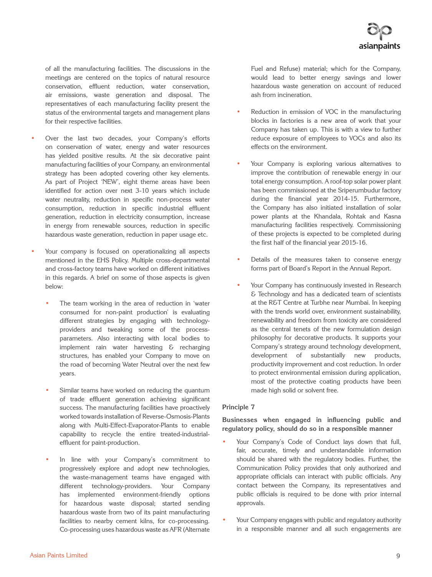of all the manufacturing facilities. The discussions in the meetings are centered on the topics of natural resource conservation, effluent reduction, water conservation, air emissions, waste generation and disposal. The representatives of each manufacturing facility present the status of the environmental targets and management plans for their respective facilities.

- Over the last two decades, your Company's efforts on conservation of water, energy and water resources has yielded positive results. At the six decorative paint manufacturing facilities of your Company, an environmental strategy has been adopted covering other key elements. As part of Project 'NEW', eight theme areas have been identified for action over next 3-10 years which include water neutrality, reduction in specific non-process water consumption, reduction in specific industrial effluent generation, reduction in electricity consumption, increase in energy from renewable sources, reduction in specific hazardous waste generation, reduction in paper usage etc.
- Your company is focused on operationalizing all aspects mentioned in the EHS Policy. Multiple cross-departmental and cross-factory teams have worked on different initiatives in this regards. A brief on some of those aspects is given below:
	- The team working in the area of reduction in 'water consumed for non-paint production' is evaluating different strategies by engaging with technologyproviders and tweaking some of the processparameters. Also interacting with local bodies to implement rain water harvesting & recharging structures, has enabled your Company to move on the road of becoming Water Neutral over the next few years.
	- Similar teams have worked on reducing the quantum of trade effluent generation achieving significant success. The manufacturing facilities have proactively worked towards installation of Reverse-Osmosis-Plants along with Multi-Effect-Evaporator-Plants to enable capability to recycle the entire treated-industrialeffluent for paint-production.
	- In line with your Company's commitment to progressively explore and adopt new technologies, the waste-management teams have engaged with different technology-providers. Your Company has implemented environment-friendly options for hazardous waste disposal; started sending hazardous waste from two of its paint manufacturing facilities to nearby cement kilns, for co-processing. Co-processing uses hazardous waste as AFR (Alternate

Fuel and Refuse) material; which for the Company, would lead to better energy savings and lower hazardous waste generation on account of reduced ash from incineration.

- Reduction in emission of VOC in the manufacturing blocks in factories is a new area of work that your Company has taken up. This is with a view to further reduce exposure of employees to VOCs and also its effects on the environment.
- Your Company is exploring various alternatives to improve the contribution of renewable energy in our total energy consumption. A roof-top solar power plant has been commissioned at the Sriperumbudur factory during the financial year 2014-15. Furthermore, the Company has also initiated installation of solar power plants at the Khandala, Rohtak and Kasna manufacturing facilities respectively. Commissioning of these projects is expected to be completed during the first half of the financial year 2015-16.
- Details of the measures taken to conserve energy forms part of Board's Report in the Annual Report.
- Your Company has continuously invested in Research & Technology and has a dedicated team of scientists at the R&T Centre at Turbhe near Mumbai. In keeping with the trends world over, environment sustainability, renewability and freedom from toxicity are considered as the central tenets of the new formulation design philosophy for decorative products. It supports your Company's strategy around technology development, development of substantially new products, productivity improvement and cost reduction. In order to protect environmental emission during application, most of the protective coating products have been made high solid or solvent free.

# **Principle 7**

**Businesses when engaged in influencing public and regulatory policy, should do so in a responsible manner**

- Your Company's Code of Conduct lays down that full, fair, accurate, timely and understandable information should be shared with the regulatory bodies. Further, the Communication Policy provides that only authorized and appropriate officials can interact with public officials. Any contact between the Company, its representatives and public officials is required to be done with prior internal approvals.
- Your Company engages with public and regulatory authority in a responsible manner and all such engagements are